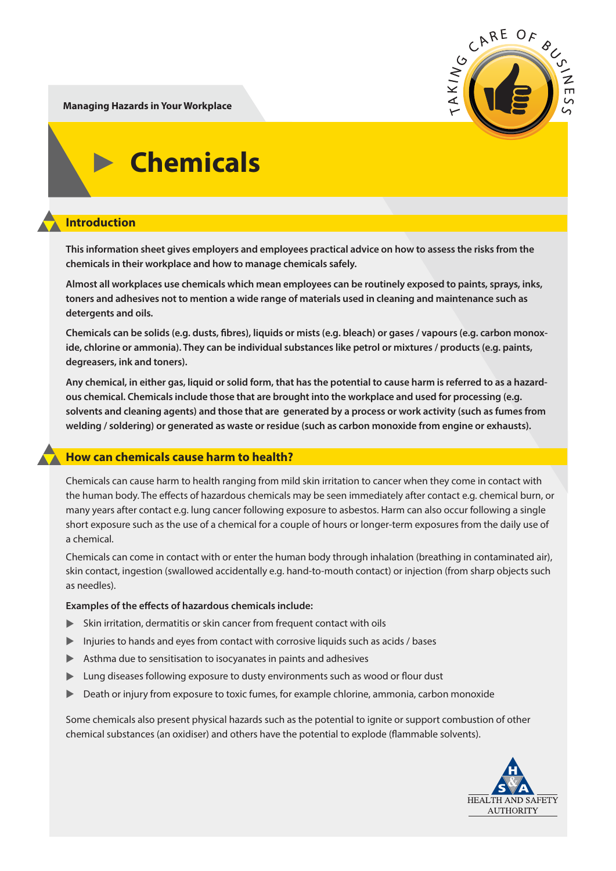CARE OF  $AKIN$ 

**Managing Hazards in Your Workplace**

# **Chemicals**

### **Introduction**

**This information sheet gives employers and employees practical advice on how to assess the risks from the chemicals in their workplace and how to manage chemicals safely.**

**Almost all workplaces use chemicals which mean employees can be routinely exposed to paints, sprays, inks, toners and adhesives not to mention a wide range of materials used in cleaning and maintenance such as detergents and oils.** 

Chemicals can be solids (e.g. dusts, fibres), liquids or mists (e.g. bleach) or gases / vapours (e.g. carbon monox**ide, chlorine or ammonia). They can be individual substances like petrol or mixtures / products (e.g. paints, degreasers, ink and toners).** 

**Any chemical, in either gas, liquid or solid form, that has the potential to cause harm is referred to as a hazardous chemical. Chemicals include those that are brought into the workplace and used for processing (e.g. solvents and cleaning agents) and those that are generated by a process or work activity (such as fumes from welding / soldering) or generated as waste or residue (such as carbon monoxide from engine or exhausts).** 

### **How can chemicals cause harm to health?**

Chemicals can cause harm to health ranging from mild skin irritation to cancer when they come in contact with the human body. The effects of hazardous chemicals may be seen immediately after contact e.g. chemical burn, or many years after contact e.g. lung cancer following exposure to asbestos. Harm can also occur following a single short exposure such as the use of a chemical for a couple of hours or longer-term exposures from the daily use of a chemical.

Chemicals can come in contact with or enter the human body through inhalation (breathing in contaminated air), skin contact, ingestion (swallowed accidentally e.g. hand-to-mouth contact) or injection (from sharp objects such as needles).

#### **Examples of the effects of hazardous chemicals include:**

- ▲ Skin irritation, dermatitis or skin cancer from frequent contact with oils
- ▲ Injuries to hands and eyes from contact with corrosive liquids such as acids / bases
- ▲ Asthma due to sensitisation to isocyanates in paints and adhesives
- Lung diseases following exposure to dusty environments such as wood or flour dust
- $\blacktriangleright$ Death or injury from exposure to toxic fumes, for example chlorine, ammonia, carbon monoxide

Some chemicals also present physical hazards such as the potential to ignite or support combustion of other chemical substances (an oxidiser) and others have the potential to explode (flammable solvents).

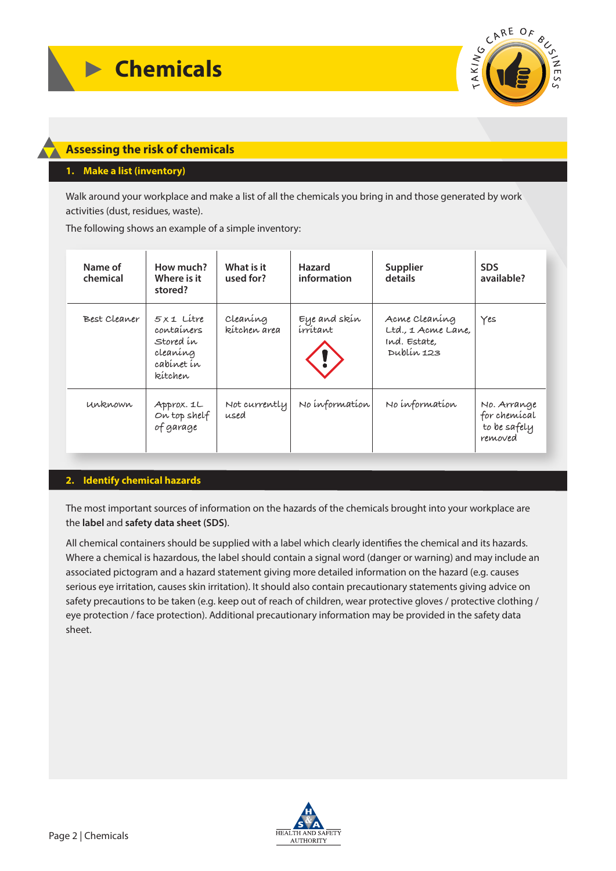

## **Assessing the risk of chemicals**

#### **1. Make a list (inventory)**

Walk around your workplace and make a list of all the chemicals you bring in and those generated by work activities (dust, residues, waste).

The following shows an example of a simple inventory:

| Name of<br>chemical | How much?<br>Where is it<br>stored?                                         | What is it<br>used for?  | <b>Hazard</b><br>information | <b>Supplier</b><br>details                                        | <b>SDS</b><br>available?                               |
|---------------------|-----------------------------------------------------------------------------|--------------------------|------------------------------|-------------------------------------------------------------------|--------------------------------------------------------|
| Best Cleaner        | 5 x 1 Litre<br>containers<br>Stored in<br>cleaning<br>cabínet ín<br>kítchen | Cleaning<br>kítchen area | Eye and skín<br>írrítant     | Acme Cleaning<br>Ltd., 1 Acme Lane,<br>Ind. Estate,<br>Dublin 123 | Yes                                                    |
| Unknown             | Approx. IL<br>On top shelf<br>of garage                                     | Not currently<br>used    | No information               | No information                                                    | No. Arrange<br>for chemical<br>to be safely<br>removed |

#### **2. Identify chemical hazards**

The most important sources of information on the hazards of the chemicals brought into your workplace are the **label** and **safety data sheet (SDS)**.

All chemical containers should be supplied with a label which clearly identifies the chemical and its hazards. Where a chemical is hazardous, the label should contain a signal word (danger or warning) and may include an associated pictogram and a hazard statement giving more detailed information on the hazard (e.g. causes serious eye irritation, causes skin irritation). It should also contain precautionary statements giving advice on safety precautions to be taken (e.g. keep out of reach of children, wear protective gloves / protective clothing / eye protection / face protection). Additional precautionary information may be provided in the safety data sheet.

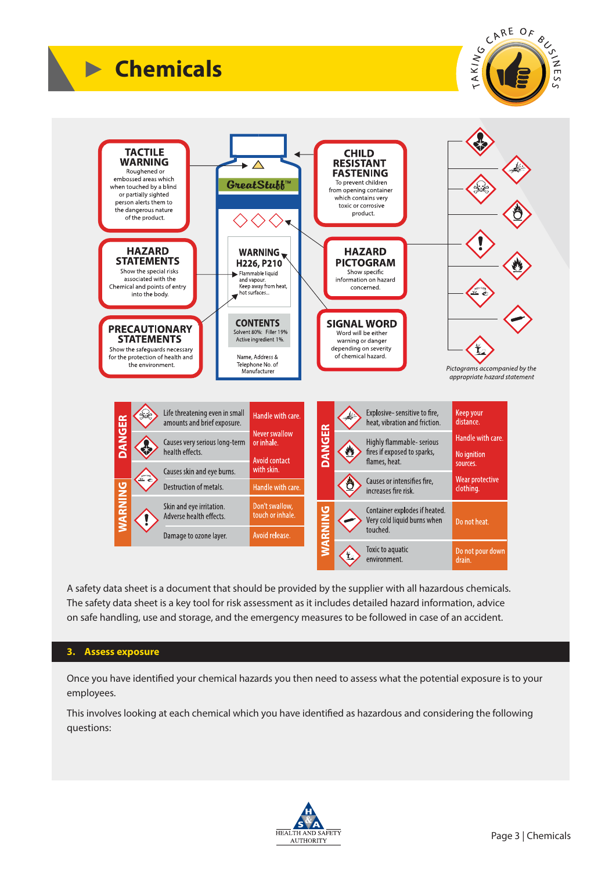# **Chemicals**





A safety data sheet is a document that should be provided by the supplier with all hazardous chemicals. The safety data sheet is a key tool for risk assessment as it includes detailed hazard information, advice on safe handling, use and storage, and the emergency measures to be followed in case of an accident.

#### **3. Assess exposure**

Once you have identified your chemical hazards you then need to assess what the potential exposure is to your employees.

This involves looking at each chemical which you have identified as hazardous and considering the following questions: